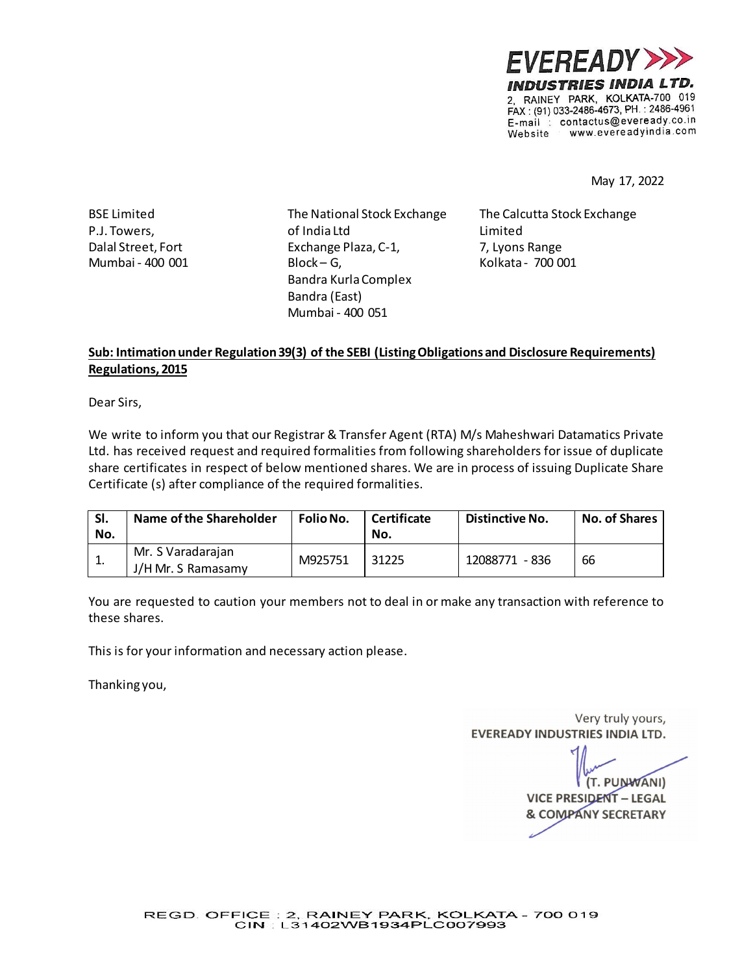

May 17, 2022

BSE Limited P.J. Towers, Dalal Street, Fort Mumbai - 400 001 The National Stock Exchange of India Ltd Exchange Plaza, C-1, Block – G, Bandra Kurla Complex Bandra (East) Mumbai - 400 051

The Calcutta Stock Exchange Limited 7, Lyons Range Kolkata - 700 001

## **Sub: Intimation under Regulation 39(3) of the SEBI (Listing Obligations and Disclosure Requirements) Regulations, 2015**

Dear Sirs,

We write to inform you that our Registrar & Transfer Agent (RTA) M/s Maheshwari Datamatics Private Ltd. has received request and required formalities from following shareholders for issue of duplicate share certificates in respect of below mentioned shares. We are in process of issuing Duplicate Share Certificate (s) after compliance of the required formalities.

| SI.<br>No. | Name of the Shareholder                 | <b>Folio No.</b> | Certificate<br>No. | Distinctive No. | <b>No. of Shares</b> |
|------------|-----------------------------------------|------------------|--------------------|-----------------|----------------------|
| ᅩ.         | Mr. S Varadarajan<br>J/H Mr. S Ramasamy | M925751          | 31225              | 12088771 - 836  | 66                   |

You are requested to caution your members not to deal in or make any transaction with reference to these shares.

This is for your information and necessary action please.

Thanking you,

Very truly yours, **EVEREADY INDUSTRIES INDIA LTD.** 

(T. PUNWANI) **VICE PRESIDENT - LEGAL & COMPANY SECRETARY**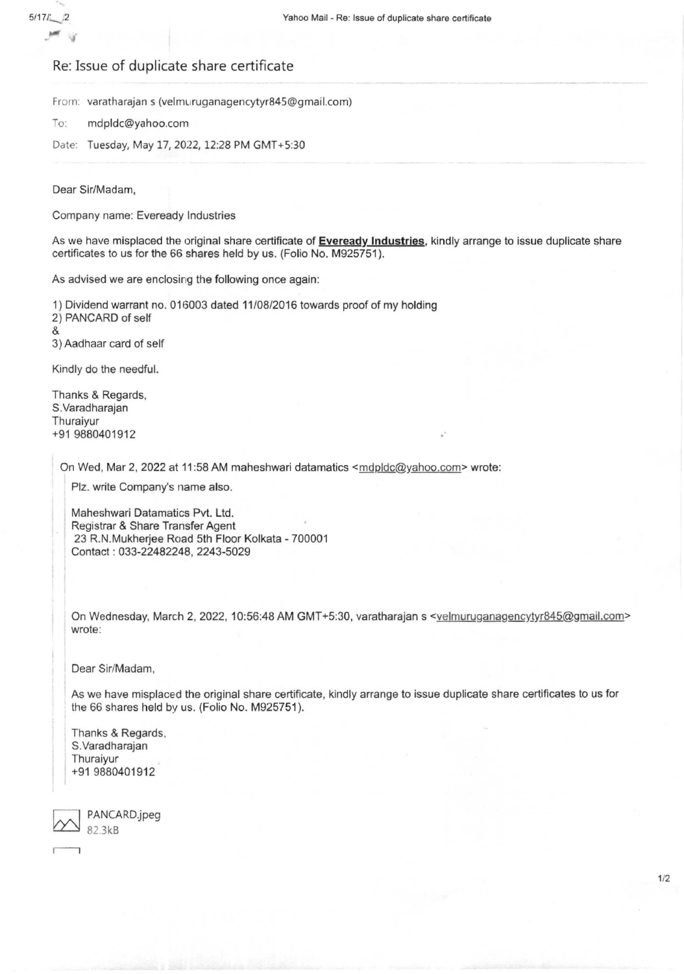## Re: Issue of duplicate share certificate

From: varatharajan s (velmuruganagencytyr845@gmail.com)

To: mdpldc@yahoo.com

Date: Tuesday, May 17, 2022, 12:28 PM GMT+5:30

Dear Sir/Madam,

 $5/17/2$ .

Company name: Eveready Industries

As we have misplaced the original share certificate of **Eveready Industries,** kindly arrange to issue duplicate share certificates to us for the 66 shares held by us. (Folio No. M925751 ).

As advised we are enclosing the following once again:

1) Dividend warrant no. 016003 dated 11/08/2016 towards proof of my holding 2) PANCARD of self & 3) Aadhaar card of self

Kindly do the needful.

Thanks & Regards, S.Varadharajan Thuraiyur +91 9880401912

On Wed, Mar 2, 2022 at 11:58 AM maheshwari datamatics <mdpldc@yahoo.com> wrote:

Plz. write Company's name also.

Maheshwari Datamatics Pvt. Ltd. Registrar & Share Transfer Agent 23 R.N.Mukherjee Road 5th Floor Kolkata - 700001 Contact : 033-22482248, 2243-5029

On Wednesday, March 2, 2022, 10:56:48 AM GMT+5:30, varatharajan s <velmuruganagencytyr845@gmail.com> wrote:

Dear Sir/Madam,

As we have misplaced the original share certificate, kindly arrange to issue duplicate share certificates to us for the 66 shares held by us. (Folio No. M925751).

Thanks & Regards, S.Varadharajan Thuraiyur +91 9880401912

 $\overline{\phantom{0}}$ PANCARD.jpeg 82.3kB